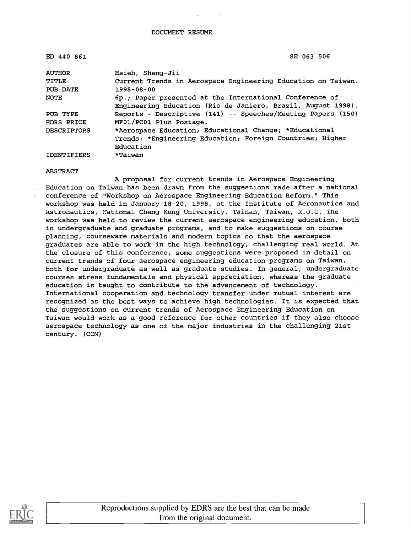| ED 440 861         | SE 063 506                                                                                                              |  |  |
|--------------------|-------------------------------------------------------------------------------------------------------------------------|--|--|
| <b>AUTHOR</b>      | Hsieh, Sheng-Jii                                                                                                        |  |  |
| TITLE              | Current Trends in Aerospace Engineering Education on Taiwan.                                                            |  |  |
| PUB DATE           | $1998 - 08 - 00$                                                                                                        |  |  |
| <b>NOTE</b>        | 6p.; Paper presented at the International Conference of<br>Engineering Education (Rio de Janiero, Brazil, August 1998). |  |  |
| PUB TYPE           | Reports - Descriptive (141) -- Speeches/Meeting Papers (150)                                                            |  |  |
| <b>EDRS PRICE</b>  | MF01/PC01 Plus Postage.                                                                                                 |  |  |
| <b>DESCRIPTORS</b> | *Aerospace Education; Educational Change; *Educational                                                                  |  |  |
|                    | Trends; *Engineering Education; Foreign Countries; Higher                                                               |  |  |
|                    | Education                                                                                                               |  |  |
| <b>IDENTIFIERS</b> | *Taiwan                                                                                                                 |  |  |

#### **ABSTRACT**

A proposal for current trends in Aerospace Engineering Education on Taiwan has been drawn from the suggestions made after a national conference of "Workshop on Aerospace Engineering Education Reform." This workshop was held in January 18-20, 1998, at the Institute of Aeronautics and Astronautics, National Cheng Kung University, Tainan, Taiwan, R.O.C. The workshop was held to review the current aerospace engineering education, both in undergraduate and graduate programs, and to make suggestions on course planning, courseware materials and modern topics so that the aerospace graduates are able to work in the high technology, challenging real world. At the closure of this conference, some suggestions were proposed in detail on current trends of four aerospace engineering education programs on Taiwan, both for undergraduate as well as graduate studies. In general, undergraduate courses stress fundamentals and physical appreciation, whereas the graduate education is taught to contribute to the advancement of technology. International cooperation and technology transfer under mutual interest are recognized as the best ways to achieve high technologies. It is expected that the suggestions on current trends of Aerospace Engineering Education on Taiwan would work as a good reference for other countries if they also choose aerospace technology as one of the major industries in the challenging 21st century. (CCM)



Reproductions supplied by EDRS are the best that can be made from the original document.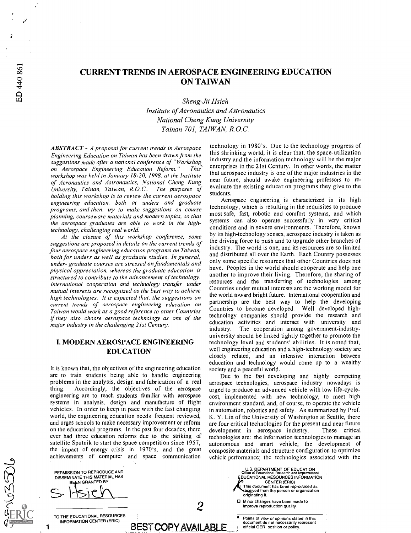## CURRENT TRENDS IN AEROSPACE ENGINEERING EDUCATION ON TAIWAN

Sheng-Jii Hsieh Institute of Aeronautics and Astronautics National Cheng Kung University Tainan 701, TAIWAN, R.O.C.

ABSTRACT - A proposal for current trends in Aerospace Engineering Education on Taiwan has been drawn from the suggestions made after a national conference of "Workshop<br>on Aerospace Engineering Education Reform." This on Aerospace Engineering Education Reform." workshop was held in January 18-20, 1998, at the Institute of Aeronautics and Astronautics, National Cheng Kung University, Tainan, Taiwan, R.O.C.. The purposes of holding this workshop is to review the current aerospace engineering education, both at unders and graduate programs, and then, try to make suggestions on course planning, courseware materials and modern topics, so that the aerospace graduates are able to work in the hightechnology, challenging real world.

At the closure of this workshop conference, some suggestions are proposed in details on the current trends of four aerospace engineering education programs on Taiwan, both for unders as well as graduate studies. In general, under- graduate courses are stressed on fundamentals and physical appreciation, whereas the graduate education is structured to contribute to the advancement of technology. International cooperation and technology transfer under mutual interests are recognized as the best way to achieve high technologies. It is expected that, the suggestions on current trends of aerospace engineering education on Taiwan would work as a good reference to other Countries if they also choose aerospace technology as one of the major industry in the challenging 21st Century.

#### I. MODERN AEROSPACE ENGINEERING EDUCATION

It is known that, the objectives of the engineering education are to train students being able to handle engineering problems in the analysis, design and fabrication of a real thing. Accordingly, the objectives of the aerospace engineering are to teach students familiar with aerospace systems in analysis, design and manufacture of flight vehicles. In order to keep in pace with the fast changing world, the engineering education needs frequent reviewed, and urges schools to make necessary improvement or reform on the educational programs. In the past four decades, there ever had three education reforms due to the striking of satellite Sputnik to start the space competition since 1957, the impact of energy crisis in 1970's, and the great achievements of computer and space communication

BEST COPY AVAILABLE

technology in 1980's. Due to the technology progress of this shrinking world, it is clear that, the space-utilization industry and the information technology will be the major enterprises in the 21st Century. In other words, the matter that aerospace industry is one of the major industries in the near future, should awake engineering professors to re evaluate the existing education programs they give to the students.

Aerospace engineering is characterized in its high technology, which is resulting in the requisites to produce most safe, fast, robotic and comfort systems, and which systems can also operate successfully in very critical conditions and in severe environments. Therefore, known by its high-technology senses, aerospace industry is taken as the driving force to push and to upgrade other branches of industry. The world is one, and its resources are so limited and distributed all over the Earth. Each Country possesses only some specific resources that other Countries does not have. Peoples in the world should cooperate and help one another to improve their living. Therefore, the sharing of resources and the transferring of technologies among Countries under mutual interests are the working model for the world toward bright future. International cooperation and partnership are the best way to help the developing Countries to become developed. Well developed hightechnology companies should provide the research and education activities and interact with university and industry. The cooperation among government-industryuniversity should be linked tightly together to promote the technology level and students' abilities. It is noted that, well engineering education and a high-technology society are closely related, and an intensive interaction between education and technology would come up to a wealthy society and a peaceful world.

Due to the fast developing and highly competing aerospace technologies, aerospace industry nowadays is urged to produce an advanced vehicle with low life-cyclecost, implemented with new technology, to meet high environment standard, and, of course, to operate the vehicle in automation, robotics and safety. As summarized by Prof. K. Y. Lin of the University of Washington at Seattle, there are four critical technologies for the present and near future<br>development in aerospace industry. These critical development in aerospace industry. technologies are: the information technologies to manage an autonomous and smart vehicle; the development of composite materials and structure configuration to optimize vehicle performance; the technologies associated with the

U.S. DEPARTMENT OF EDUCATION<br>Office of Educational Besser band Letters

CENTER (ERIC) This document has been reproduced as<br>received from the person or organization

Minor changes have been made to

Office of Educational Research and Improvement EDUCATIONAL RESOURCES INFORMATION

Points of view or opinions stated in this document do not necessarily represent

2 Minor changes have been made to<br>improve reproduction quality.

originating it.

1

DISSEMINATE THIS MATERIAL HAS **BEEN GRANTED BY** <u>s. Itsich</u>

PERMISSION TO REPRODUCE AND

TO THE EDUCATIONAL RESOURCES INFORMATION CENTER (ERIC)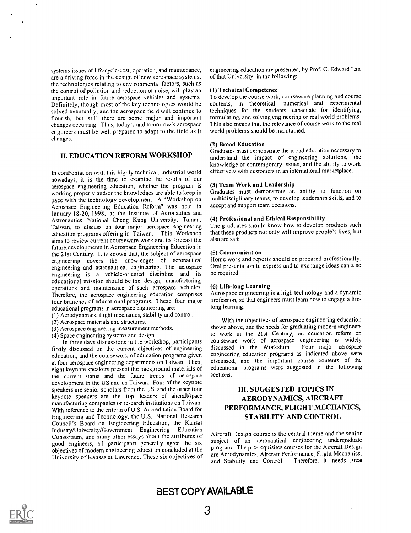systems issues of life-cycle-cost, operation, and maintenance, are a driving force in the design of new aerospace systems; the technologies relating to environmental factors, such as the control of pollution and reduction of noise, will play an important role in future aerospace vehicles and systems. Definitely, though most of the key technologies would be solved eventually, and the aerospace field will continue to flourish, but still there are some major and important changes occurring. Thus, today's and tomorrow's aerospace engineers must be well prepared to adapt to the field as it changes.

#### II. EDUCATION REFORM WORKSHOP

In confrontation with this highly technical, industrial world nowadays, it is the time to examine the results of our aerospace engineering education, whether the program is working properly and/or the knowledges are able to keep in pace with the technology development. A "Workshop on Aerospace Engineering Education Reform" was held in January 18-20, 1998, at the Institute of Aeronautics and Astronautics, National Cheng Kung University, Tainan, Taiwan, to discuss on four major aerospace engineering education programs offering in Taiwan. This Workshop aims to review current courseware work and to forecast the future developments in Aerospace Engineering Education in the 21st Century. It is known that, the subject of aerospace engineering covers the knowledges of aeronautical engineering and astronautical engineering. The aerospace engineering is a vehicle-oriented discipline and its educational mission should be the design, manufacturing, operations and maintenance of such aerospace vehicles. Therefore, the aerospace engineering education comprises four branches of educational programs. These four major educational programs in aerospace engineering are:

- (1) Aerodynamics, flight mechanics, stability and control.
- (2) Aerospace materials and structures.
- (3) Aerospace engineering measurement methods.
- (4) Space engineering systems and design.

In three days discussions in the workshop, participants firstly discussed on the current objectives of engineering education, and the coursework of education programs given at four aerospace engineering departments on Taiwan. Then, eight keynote speakers present the background materials of the current status and the future trends of aerospace development in the US and on Taiwan. Four of the keynote speakers are senior scholars from the US, and the other four keynote speakers are the top leaders of aircraft/space manufacturing companies or research institutions on Taiwan. With reference to the criteria of U.S. Accreditation Board for Engineering and Technology, the U.S. National Research Council's Board on Engineering Education, the Kansas Industry/University/Government Engineering Education Consortium, and many other essays about the attributes of good engineers, all participants generally agree the six objectives of modern engineering education concluded at the University of Kansas at Lawrence. These six objectives of

engineering education are presented, by Prof. C. Edward Lan of that University, in the following:

#### (1) Technical Competence

To develop the course work, courseware planning and course contents, in theoretical, numerical and experimental techniques for the students capacitate for identifying, formulating, and solving engineering or real world problems. This also means that the relevance of course work to the real world problems should be maintained.

#### (2) Broad Education

Graduates must demonstrate the broad education necessary to understand the impact of engineering solutions, the knowledge of contemporary issues, and the ability to work effectively with customers in an international marketplace.

#### (3) Team Work and Leadership

Graduates must demonstrate an ability to function on multidisciplinary teams, to develop leadership skills, and to accept and support team decisions.

#### (4) Professional and Ethical Responsibility

The graduates should know how to develop products such that these products not only will improve people's lives, but also are safe.

#### (5) Communication

Home work and reports should be prepared professionally. Oral presentation to express and to exchange ideas can also be required.

#### (6) Life-long Learning

Aerospace engineering is a high technology and a dynamic profession, so that engineers must learn how to engage a lifelong learning.

With the objectives of aerospace engineering education shown above, and the needs for graduating modern engineers to work in the 21st Century, an education reform on courseware work of aerospace engineering is widely discussed in the Workshop. engineering education programs as indicated above were discussed, and the important course contents of the educational programs were suggested in the following sections.

## III. SUGGESTED TOPICS IN AERODYNAMICS, AIRCRAFT PERFORMANCE, FLIGHT MECHANICS, STABILITY AND CONTROL

Aircraft Design course is the central theme and the senior subject of an aeronautical engineering undergraduate program. The pre-requisites courses for the Aircraft Design are Aerodynamics, Aircraft Performance, Flight Mechanics, and Stability and Control. Therefore, it needs great

## BEST COPY AVAILABLE

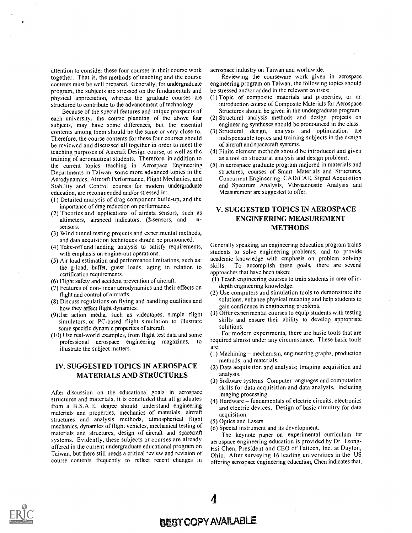attention to consider these four courses in their course work together. That is, the methods of teaching and the course contents must be well prepared. Generally, for undergraduate program, the subjects are stressed on the fundamentals and physical appreciation, whereas the graduate courses are structured to contribute to the advancement of technology.

Because of the special features and unique prospects of each university, the course planning of the above four subjects, may have some differences, but the essential contents among them should be the same or very close to. Therefore, the course contents for these four courses should be reviewed and discussed all together in order to meet the teaching purposes of Aircraft Design course, as well as the training of aeronautical students. Therefore, in addition to the current topics teaching in Aerospace Engineering Departments in Taiwan, some more advanced topics in the Aerodynamics, Aircraft Performance, Flight Mechanics, and Stability and Control courses for modern undergraduate education, are recommended and/or stressed in:

- (1) Detailed analysis of drag component build-up, and the importance of drag reduction on performance.
- (2) Theories and applications of airdata sensors, such as altimeters airspeed indicators (2-sensors, and  $\mathbf{n}$ altimeters, airspeed indicators, (2-sensors, and sensors.
- (3) Wind tunnel testing projects and experimental methods, and data acquisition techniques should be pronounced.
- (4) Take-off and landing analysis to satisfy requirements, with emphasis on engine-out operations.
- (5) Air load estimation and performance limitations, such as:  $\alpha$  academ the  $\alpha$ -load buffet guest loads aging in relation to skills. the g-load, buffet, guest loads, aging in relation to certification requirements.
- (6) Flight safety and accident prevention of aircraft.
- (7) Features of non-linear aerodynamics and their effects on flight and control of aircrafts.
- (8) Discuss regulations on flying and handling qualities and how they affect flight dynamics.
- (9)Use action media, such as videotapes, simple flight simulators, or PC-based flight simulation to illustrate some specific dynamic properties of aircraft.
- (10) Use real-world examples, from flight test data and some professional aerospace engineering magazines, to illustrate the subject matters.

## IV. SUGGESTED TOPICS IN AEROSPACE MATERIALS AND STRUCTURES

After discussion on the educational goals in aerospace structures and materials, it is concluded that all graduates from a B.S.A.E. degree should understand engineering materials and properties, mechanics of materials, aircraft structures and analysis methods, atmospherical flight mechanics, dynamics of flight vehicles, mechanical testing of materials and structures, design of aircraft and spacecraft systems. Evidently, these subjects or courses are already offered in the current undergraduate educational program on Taiwan, but there still needs a critical review and revision of course contents frequently to reflect recent changes in aerospace industry on Taiwan and worldwide.

Reviewing the courseware work given in aerospace engineering program on Taiwan, the following topics should be stressed and/or added in the relevant courses:

- (1) Topic of composite materials and properties, or an introduction course of Composite Materials for Aerospace Structures should be given in the undergraduate program.
- (2) Structural analysis methods and design projects on engineering syntheses should be pronounced in the class.
- (3) Structural design, analysis and optimization are indispensable topics and training subjects in the design of aircraft and spacecraft systems.
- (4) Finite element methods should be introduced and given as a tool on structural analysis and design problems.
- (5) In aerospace graduate program majored in materials and structures, courses of Smart Materials and Structures, Concurrent Engineering, CAD/CAE, Signal Acquisition and Spectrum Analysis, Vibroacoustic Analysis and Measurement are suggested to offer.

## V. SUGGESTED TOPICS IN AEROSPACE ENGINEERING MEASUREMENT METHODS

Generally speaking, an engineering education program trains students to solve engineering problems, and to provide academic knowledge with emphasis on problem solving To accomplish these goals, there are several approaches that have been taken:

- (1) Teach engineering courses to train students in area of indepth engineering knowledge.
- (2) Use computers and simulation tools to demonstrate the solutions, enhance physical meaning and help students to gain confidence in engineering problems.
- (3) Offer experimental courses to equip students with testing skills and ensure their ability to develop appropriate solutions.

For modern experiments, there are basic tools that are required almost under any circumstance. These basic tools are:

- $(1)$  Machining mechanism, engineering graphs, production methods, and materials.
- (2) Data acquisition and analysis; Imaging acquisition and analysis.
- (3) Software systems–Computer languages and computation skills for data acquisition and data analysis, including imaging processing.
- (4) Hardware fundamentals of electric circuits, electronics and electric devices. Design of basic circuitry for data acquisition.
- (5) Optics and Lasers.

4

(6) Special instrument and its development.

The keynote paper on experimental curriculum for aerospace engineering education is provided by Dr. Tzong-Hsi Chen, President and CEO of Taitech, Inc. at Dayton, Ohio. After surveying 16 leading universities in the US offering aerospace engineering education, Chen indicates that,

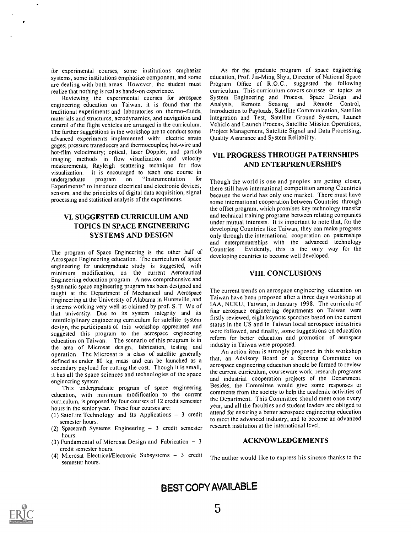for experimental courses, some institutions emphasize systems, some institutions emphasize component, and some are dealing with both areas. However, the student must realize that nothing is real as hands-on experience.

Reviewing the experimental courses for aerospace engineering education on Taiwan, it is found that the traditional experiments and laboratories on thermo-fluids, materials and structures, aerodynamics, and navigation and control of the flight vehicles are arranged in the curriculum. The further suggestions in the workshop are to conduct some advanced experiments implemented with: electric strain gages; pressure transducers and thermocouples; hot-wire and hot-film velocimetry; optical, laser Doppler, and particle imaging methods in flow visualization and velocity measurements; Rayleigh scattering technique for flow visualization. It is encouraged to teach one course in undergraduate program on "Instrumentation for "Instrumentation Experiments" to introduce electrical and electronic devices, sensors, and the principles of digital data acquisition, signal processing and statistical analysis of the experiments.

## VI. SUGGESTED CURRICULUM AND TOPICS IN SPACE ENGINEERING SYSTEMS AND DESIGN

The program of Space Engineering is the other half of Aerospace Engineering education. The curriculum of space engineering for undergraduate study is suggested, with minimum modification, on the current Aeronautical Engineering education program. A new comprehensive and systematic space engineering program has been designed and taught at the Department of Mechanical and Aerospace Engineering at the University of Alabama in Huntsville, and it seems working very well as claimed by prof. S. T. Wu of that university. Due to its system integrity and its interdiciplinary engineering curriculum for satellite system design, the participants of this workshop appreciated and suggested this program to the aerospace engineering education on Taiwan. The scenario of this program is in the area of Microsat design, fabrication, testing and operation. The Microsat is a class of satellite generally defined as under 80 kg mass and can be launched as a secondary payload for cutting the cost. Though it is small, it has all the space sciences and technologies of the space engineering system.

This undergraduate program of space engineering education, with minimum modification to the current curriculum, is proposed by four courses of 12 credit semester hours in the senior year. These four courses are:

- (1) Satellite Technology and Its Applications  $-3$  credit semester hours.
- (2) Spacecraft Systems Engineering  $-3$  credit semester hours.
- (3) Fundamental of Microsat Design and Fabrication  $-3$ credit semester hours.
- (4) Microsat Electrical/Electronic Subsystems  $-3$  credit semester hours.

As for the graduate program of space engineering education, Prof. Jia-Ming Shyu, Director of National Space Program Office of R.O.C., suggested the following curriculum. This curriculum covers courses or topics as System Engineering and Process, Space Design and Analysis, Remote Sensing and Remote Control, Introduction to Payloads, Satellite Communication, Satellite Integration and Test, Satellite Ground System, Launch Vehicle and Launch Process, Satellite Mission Operations, Project Management, Satellite Signal and Data Processing, Quality Assurance and System Reliability.

#### VII. PROGRESS THROUGH PATERNSHIPS AND ENTERPRENUERSHIPS

Though the world is one and peoples are getting closer, there still have international competition among Countries because the world has only one market. There must have some international cooperation between Countries through the offset program, which promises key technology transfer and technical training programs between relating companies under mutual interests. It is important to note that, for the developing Countries like Taiwan, they can make progress only through the international cooperation on paternships and enterprenuerships with the advanced technology Countries. Evidently, this is the only way for the developing countries to become well developed.

#### VIII. CONCLUSIONS

The current trends on aerospace engineering education on Taiwan have been proposed after a three days workshop at IAA, NCKU, Taiwan, in January 1998. The curricula of four aerospace engineering departments on Taiwan were firstly reviewed, eight keynote speeches based on the current status in the US and in Taiwan local aerospace industries were followed, and finally, some suggestions on education reform for better education and promotion of aerospace industry in Taiwan were proposed.

An action item is strongly proposed in this workshop that, an Advisory Board or a Steering Committee on aerospace engineering education should be formed to review the current curriculum, courseware work, research programs and industrial cooperation projects of the Department. Besides, the Committee would give some responses or comments from the society to help the academic activities of the Department. This Committee should meet once every year, and all the faculties and student leaders are obliged to attend for ensuring a better aerospace engineering education to meet the advanced industry, and to become an advanced research institution at the international level.

#### ACKNOWLEDGEMENTS

The author would like to express his sincere thanks to the

BEST COPY AVAILABLE

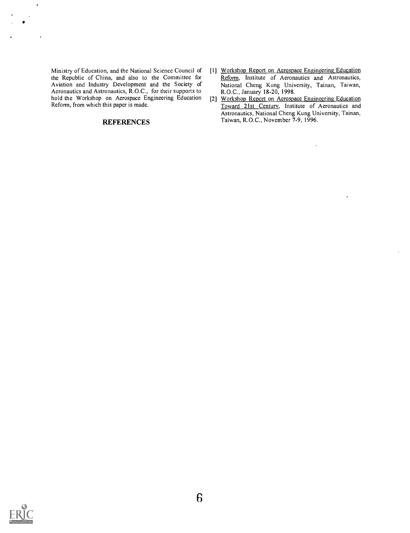Ministry of Education, and the National Science Council of the Republic of China, and also to the Committee for Aviation and Industry Development and the Society of Aeronautics and Astronautics, R.O.C., for their supports to hold the Workshop on Aerospace Engineering Education Reform, from which this paper is made.

J.

#### **REFERENCES**

- [11 Workshop Report on Aerospace Engineering Education Reform, Institute of Aeronautics and Astronautics, National Cheng Kung University, Tainan, Taiwan, R.O.C., January 18-20, 1998.
- [2] Workshop Report on Aerospace Engineering Education Toward 21st Century, Institute of Aeronautics and Astronautics, National Cheng Kung University, Tainan, Taiwan, R.O.C., November 7-9, 1996.

 $\ddot{\phantom{0}}$ 

 $\lambda$